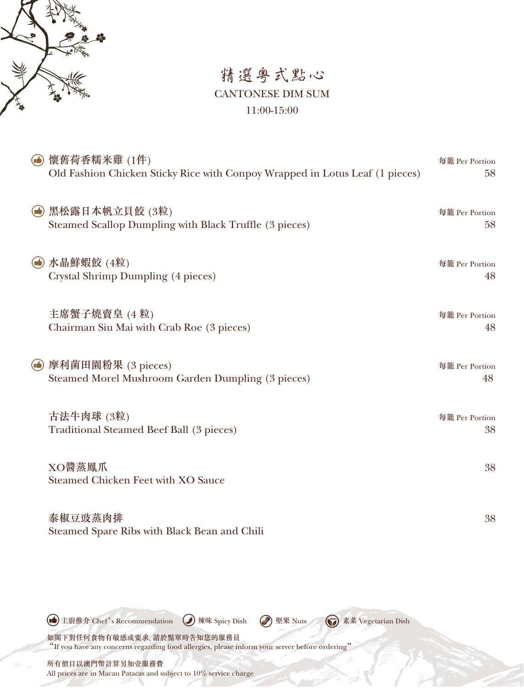

### 精選粵式點心 CANTONESE DIM SUM 11:00-15:00

| 懷舊荷香糯米雞 (1件)<br>$(\blacksquare)$<br>Old Fashion Chicken Sticky Rice with Conpoy Wrapped in Lotus Leaf (1 pieces) | 每籠 Per Portion<br>58 |
|------------------------------------------------------------------------------------------------------------------|----------------------|
| 黑松露日本帆立貝餃 (3粒)<br>$\left(\rightarrow\right)$<br>Steamed Scallop Dumpling with Black Truffle (3 pieces)           | 每籠 Per Portion<br>58 |
| 水晶鮮蝦餃 (4粒)<br>$\bullet$<br>Crystal Shrimp Dumpling (4 pieces)                                                    | 每籠 Per Portion<br>48 |
| 主席蟹子燒賣皇 (4粒)<br>Chairman Siu Mai with Crab Roe (3 pieces)                                                        | 每籠 Per Portion<br>48 |
| 摩利菌田園粉果 (3 pieces)<br>$(\blacksquare)$<br><b>Steamed Morel Mushroom Garden Dumpling (3 pieces)</b>               | 每籠 Per Portion<br>48 |
| 古法牛肉球 (3粒)<br><b>Traditional Steamed Beef Ball (3 pieces)</b>                                                    | 每籠 Per Portion<br>38 |
| XO醬蒸鳳爪<br><b>Steamed Chicken Feet with XO Sauce</b>                                                              | 38                   |
| 泰椒豆豉蒸肉排                                                                                                          | 38                   |

Steamed Spare Ribs with Black Bean and Chili

All prices are in Macau Patacas and subject to 10% service charge

如閣下對任何食物有敏感或要求, 請於點單時告知您的服務員 "If you have any concerns regarding food allergies, please inform your server before ordering" 所有價目以澳門幣計算另加壹服務費 主廚推介 Chef's Recommendation 辣味 Spicy Dish 堅果 Nuts 素菜 Vegetarian Dish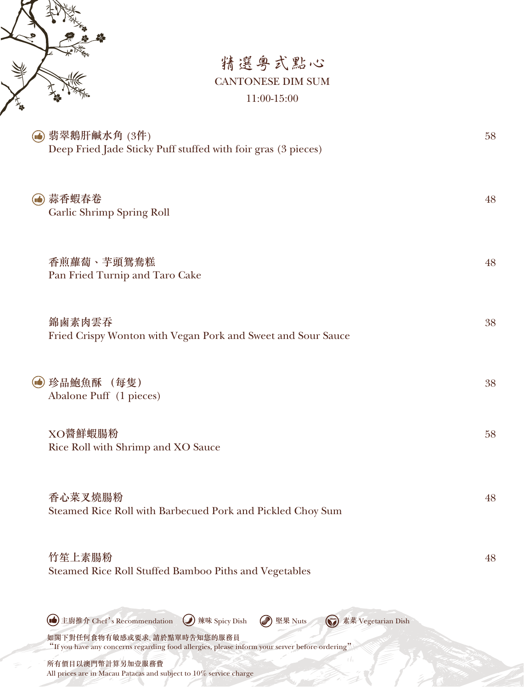

## 精選粵式點心 CANTONESE DIM SUM 11:00-15:00

| (6) 翡翠鵝肝鹹水角 (3件)<br>Deep Fried Jade Sticky Puff stuffed with foir gras (3 pieces)                                                                                                                                   | 58 |
|---------------------------------------------------------------------------------------------------------------------------------------------------------------------------------------------------------------------|----|
| (4) 蒜香蝦春卷<br><b>Garlic Shrimp Spring Roll</b>                                                                                                                                                                       | 48 |
| 香煎蘿蔔、芋頭鴛鴦糕<br>Pan Fried Turnip and Taro Cake                                                                                                                                                                        | 48 |
| 錦鹵素肉雲吞<br>Fried Crispy Wonton with Vegan Pork and Sweet and Sour Sauce                                                                                                                                              | 38 |
| (e) 珍品鮑魚酥 (每隻)<br>Abalone Puff (1 pieces)                                                                                                                                                                           | 38 |
| XO醬鮮蝦腸粉<br>Rice Roll with Shrimp and XO Sauce                                                                                                                                                                       | 58 |
| 香心菜叉燒腸粉<br>Steamed Rice Roll with Barbecued Pork and Pickled Choy Sum                                                                                                                                               | 48 |
| 竹笙上素腸粉<br>Steamed Rice Roll Stuffed Bamboo Piths and Vegetables                                                                                                                                                     | 48 |
| 主廚推介 Chef's Recommendation<br>ū٠<br>辣味 Spicy Dish<br>堅果 Nuts<br>素菜 Vegetarian Dish<br>如閣下對任何食物有敏感或要求,請於點單時告知您的服務員<br>"If you have any concerns regarding food allergies, please inform your server before ordering" |    |

所有價目以澳門幣計算另加壹服務費 All prices are in Macau Patacas and subject to 10% service charge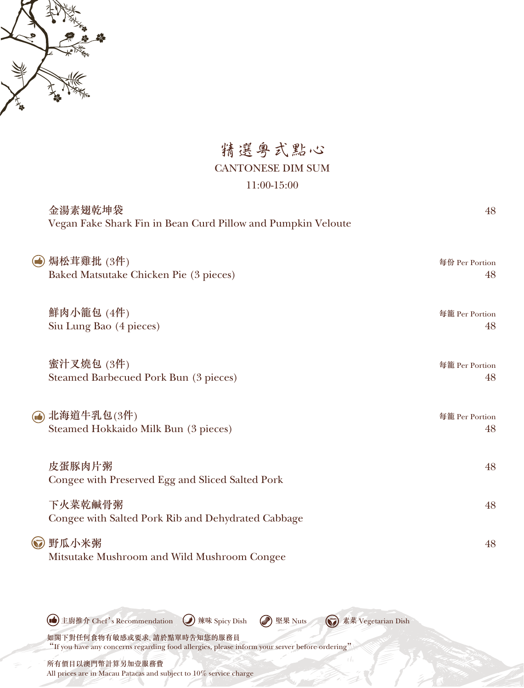

精選粵式點心 CANTONESE DIM SUM 11:00-15:00

| 金湯素翅乾坤袋<br>Vegan Fake Shark Fin in Bean Curd Pillow and Pumpkin Veloute | 48                   |
|-------------------------------------------------------------------------|----------------------|
| (6) 焗松茸雞批 (3件)<br>Baked Matsutake Chicken Pie (3 pieces)                | 每份 Per Portion<br>48 |
| 鮮肉小籠包 (4件)<br>Siu Lung Bao (4 pieces)                                   | 每籠 Per Portion<br>48 |
| 蜜汁叉燒包 (3件)<br><b>Steamed Barbecued Pork Bun (3 pieces)</b>              | 每籠 Per Portion<br>48 |
| (4) 北海道牛乳包(3件)<br>Steamed Hokkaido Milk Bun (3 pieces)                  | 每籠 Per Portion<br>48 |
| 皮蛋豚肉片粥<br>Congee with Preserved Egg and Sliced Salted Pork              | 48                   |
| 下火菜乾鹹骨粥<br>Congee with Salted Pork Rib and Dehydrated Cabbage           | 48                   |
| 3 野瓜小米粥<br>Mitsutake Mushroom and Wild Mushroom Congee                  | 48                   |

**●主廚推介 Chef's Recommendation** ● 辣味 Spicy Dish ● 堅果 Nuts < ◆ 素菜 Vegetarian Dish

如閣下對任何食物有敏感或要求, 請於點單時告知您的服務員 "If you have any concerns regarding food allergies, please inform your server before ordering"

所有價目以澳門幣計算另加壹服務費 All prices are in Macau Patacas and subject to 10% service charge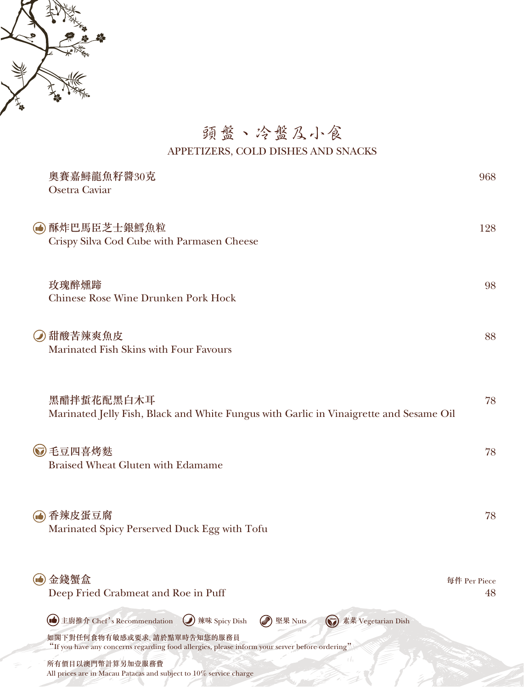

## 頭盤、冷盤及小食 APPETIZERS, COLD DISHES AND SNACKS

|                  | 奧賽嘉鱘龍魚籽醬30克<br>Osetra Caviar                                                                                                  | 968 |
|------------------|-------------------------------------------------------------------------------------------------------------------------------|-----|
|                  | (●) 酥炸巴馬臣芝士銀鱈魚粒<br>Crispy Silva Cod Cube with Parmasen Cheese                                                                 | 128 |
|                  | 玫瑰醉燻蹄<br><b>Chinese Rose Wine Drunken Pork Hock</b>                                                                           | 98  |
|                  | (4) 甜酸苦辣爽魚皮<br>Marinated Fish Skins with Four Favours                                                                         | 88  |
|                  | 黑醋拌蜇花配黑白木耳<br>Marinated Jelly Fish, Black and White Fungus with Garlic in Vinaigrette and Sesame Oil                          | 78  |
|                  | 3毛豆四喜烤麩<br><b>Braised Wheat Gluten with Edamame</b>                                                                           | 78  |
|                  | (4) 香辣皮蛋豆腐<br>Marinated Spicy Perserved Duck Egg with Tofu                                                                    | 78  |
| $(\blacksquare)$ | 金錢蟹盒<br>每件 Per Piece<br>Deep Fried Crabmeat and Roe in Puff                                                                   | 48  |
|                  | 主廚推介 Chef's Recommendation<br>素菜 Vegetarian Dish<br>辣味 Spicy Dish<br>堅果 Nuts                                                  |     |
|                  | 如閣下對任何食物有敏感或要求,請於點單時告知您的服務員<br>"If you have any concerns regarding food allergies, please inform your server before ordering" |     |
|                  | 所有價目以澳門幣計算另加壹服務費<br>All prices are in Macau Patacas and subject to 10% service charge                                         |     |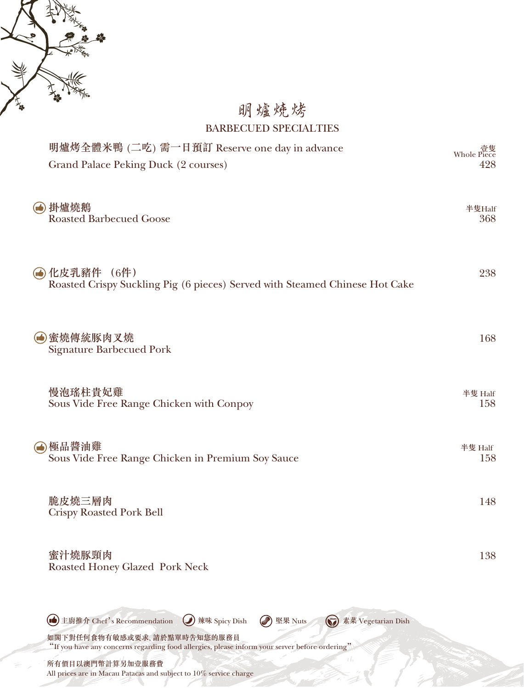

## 明爐燒烤 BARBECUED SPECIALTIES

| 明爐烤全體米鴨 (二吃) 需一日預訂 Reserve one day in advance<br>Grand Palace Peking Duck (2 courses)                                                                                                                                                                         | Whole<br>428   |
|---------------------------------------------------------------------------------------------------------------------------------------------------------------------------------------------------------------------------------------------------------------|----------------|
| (4) 掛爐燒鵝<br><b>Roasted Barbecued Goose</b>                                                                                                                                                                                                                    | 半隻Half<br>368  |
| (●) 化皮乳豬件 (6件)<br>Roasted Crispy Suckling Pig (6 pieces) Served with Steamed Chinese Hot Cake                                                                                                                                                                 | 238            |
| (6)蜜燒傳統豚肉叉燒<br><b>Signature Barbecued Pork</b>                                                                                                                                                                                                                | 168            |
| 慢泡瑤柱貴妃雞<br>Sous Vide Free Range Chicken with Conpoy                                                                                                                                                                                                           | 半隻 Half<br>158 |
| ❹極品醬油雞<br>Sous Vide Free Range Chicken in Premium Soy Sauce                                                                                                                                                                                                   | 半隻 Half<br>158 |
| 脆皮燒三層肉<br><b>Crispy Roasted Pork Bell</b>                                                                                                                                                                                                                     | 148            |
| 蜜汁燒豚頸肉<br><b>Roasted Honey Glazed Pork Neck</b>                                                                                                                                                                                                               | 138            |
| (nd) 主廚推介 Chef's Recommendation<br>辣味 Spicy Dish<br>堅果 Nuts<br>素菜 Vegetarian Dish<br>$(\mathbf{V})$<br>如閣下對任何食物有敏感或要求、請於點單時告知您的服務員<br>"If you have any concerns regarding food allergies, please inform your server before ordering"<br>(<br>所有價目以澳門幣計算另加壹服務費 |                |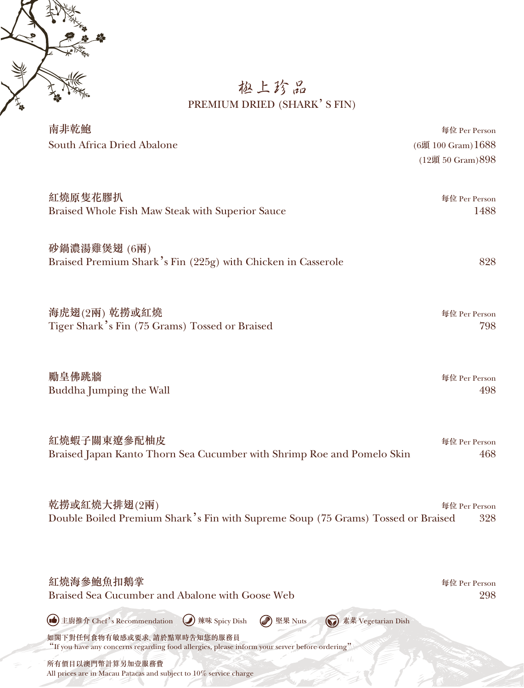

### 極上珍品 PREMIUM DRIED (SHARK'S FIN)

| 南非乾鮑                                                                                                                                                                                    | 每位 Per Person      |
|-----------------------------------------------------------------------------------------------------------------------------------------------------------------------------------------|--------------------|
| South Africa Dried Abalone                                                                                                                                                              | (6頭 100 Gram) 1688 |
|                                                                                                                                                                                         | (12頭 50 Gram) 898  |
| 紅燒原隻花膠扒                                                                                                                                                                                 | 每位 Per Person      |
| Braised Whole Fish Maw Steak with Superior Sauce                                                                                                                                        | 1488               |
| 砂鍋濃湯雞煲翅 (6兩)<br>Braised Premium Shark's Fin (225g) with Chicken in Casserole                                                                                                            | 828                |
| 海虎翅(2兩) 乾撈或紅燒                                                                                                                                                                           | 每位 Per Person      |
| Tiger Shark's Fin (75 Grams) Tossed or Braised                                                                                                                                          | 798                |
| 勵皇佛跳牆                                                                                                                                                                                   | 每位 Per Person      |
| Buddha Jumping the Wall                                                                                                                                                                 | 498                |
| 紅燒蝦子關東遼參配柚皮                                                                                                                                                                             | 每位 Per Person      |
| Braised Japan Kanto Thorn Sea Cucumber with Shrimp Roe and Pomelo Skin                                                                                                                  | 468                |
| 乾撈或紅燒大排翅(2兩)                                                                                                                                                                            | 每位 Per Person      |
| Double Boiled Premium Shark's Fin with Supreme Soup (75 Grams) Tossed or Braised                                                                                                        | 328                |
| 紅燒海參鮑魚扣鵝掌                                                                                                                                                                               | 每位 Per Person      |
| Braised Sea Cucumber and Abalone with Goose Web                                                                                                                                         | 298                |
| 主廚推介 Chef's Recommendation<br>辣味 Spicy Dish<br>堅果 Nuts<br>素菜 Vegetarian Dish<br>$\omega$<br>如閣下對任何食物有敏感或要求,請於點單時告知您的服務員                                                                 |                    |
| "If you have any concerns regarding food allergies, please inform your server before ordering"<br>所有價目以澳門幣計算另加壹服務費<br>All prices are in Macau Patacas and subject to 10% service charge |                    |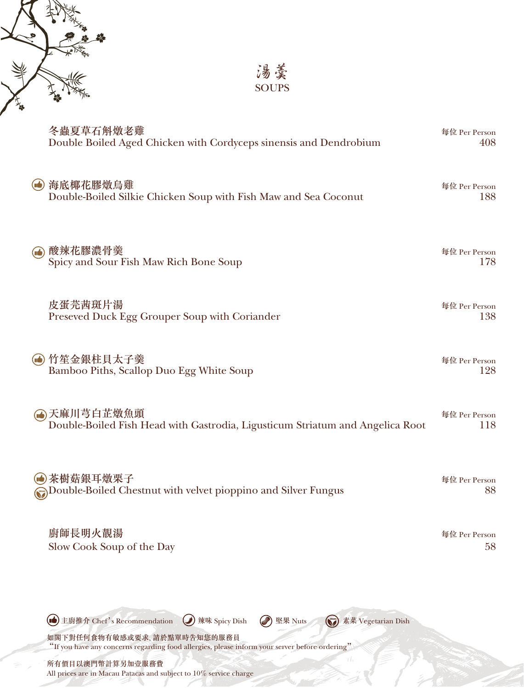

湯羹 SOUPS

|                | 冬蟲夏草石斛燉老雞<br>Double Boiled Aged Chicken with Cordyceps sinensis and Dendrobium                                                | 每位 Per Person<br>408 |
|----------------|-------------------------------------------------------------------------------------------------------------------------------|----------------------|
| $(\bullet)$    | 海底椰花膠燉烏雞<br>Double-Boiled Silkie Chicken Soup with Fish Maw and Sea Coconut                                                   | 每位 Per Person<br>188 |
| $\bigcirc$     | 酸辣花膠濃骨羹<br>Spicy and Sour Fish Maw Rich Bone Soup                                                                             | 每位 Per Person<br>178 |
|                | 皮蛋芫茜斑片湯<br>Preseved Duck Egg Grouper Soup with Coriander                                                                      | 每位 Per Person<br>138 |
| $(\mathbf{r})$ | 竹笙金銀柱貝太子羹<br>Bamboo Piths, Scallop Duo Egg White Soup                                                                         | 每位 Per Person<br>128 |
|                | (4)天麻川芎白芷燉魚頭<br>Double-Boiled Fish Head with Gastrodia, Ligusticum Striatum and Angelica Root                                 | 每位 Per Person<br>118 |
|                | 茶樹菇銀耳燉栗子<br>Double-Boiled Chestnut with velvet pioppino and Silver Fungus                                                     | 每位 Per Person<br>88  |
|                | 廚師長明火靚湯<br>Slow Cook Soup of the Day                                                                                          | 每位 Per Person<br>58  |
|                | 主廚推介 Chef's Recommendation<br>素菜 Vegetarian Dish<br>辣味 Spicy Dish<br>堅果 Nuts                                                  |                      |
|                | 如閣下對任何食物有敏感或要求、請於點單時告知您的服務員<br>"If you have any concerns regarding food allergies, please inform your server before ordering" |                      |
|                | 所有價目以澳門幣計算另加壹服務費<br>All prices are in Macau Patacas and subject to 10% service charge                                         |                      |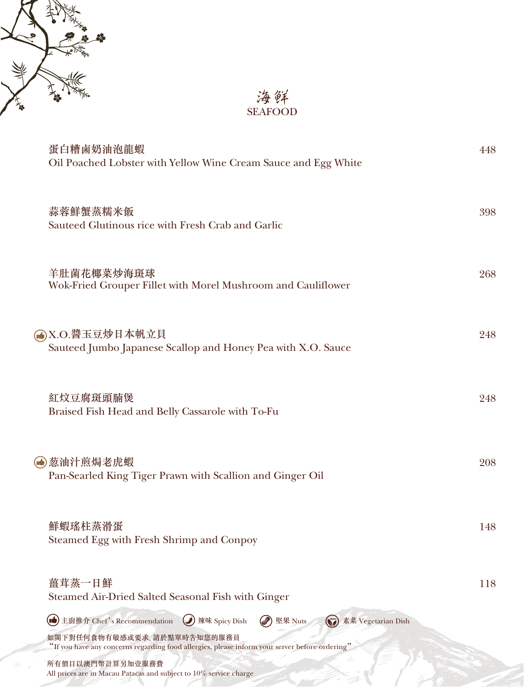

海鮮 SEAFOOD

| 蛋白糟鹵奶油泡龍蝦<br>Oil Poached Lobster with Yellow Wine Cream Sauce and Egg White                                                   | 448 |
|-------------------------------------------------------------------------------------------------------------------------------|-----|
| 蒜蓉鮮蟹蒸糯米飯<br>Sauteed Glutinous rice with Fresh Crab and Garlic                                                                 | 398 |
| 羊肚菌花椰菜炒海斑球<br>Wok-Fried Grouper Fillet with Morel Mushroom and Cauliflower                                                    | 268 |
| (▲)X.O.醬玉豆炒日本帆立貝<br>Sauteed Jumbo Japanese Scallop and Honey Pea with X.O. Sauce                                              | 248 |
| 紅炆豆腐斑頭腩煲<br>Braised Fish Head and Belly Cassarole with To-Fu                                                                  | 248 |
| (●) 葱油汁煎焗老虎蝦<br>Pan-Searled King Tiger Prawn with Scallion and Ginger Oil                                                     | 208 |
| 鮮蝦瑤柱蒸滑蛋<br>Steamed Egg with Fresh Shrimp and Conpoy                                                                           | 148 |
| 薑茸蒸一日鮮<br>Steamed Air-Dried Salted Seasonal Fish with Ginger                                                                  | 118 |
| (b) 主廚推介 Chef's Recommendation<br>Ø<br>辣味 Spicy Dish<br>堅果 Nuts<br>(S) 素菜 Vegetarian Dish                                     |     |
| 如閣下對任何食物有敏感或要求,請於點單時告知您的服務員<br>"If you have any concerns regarding food allergies, please inform your server before ordering" |     |
| $($ $ $<br>所有價目以澳門幣計算另加壹服務費<br>All prices are in Macau Patacas and subject to 10% service charge                              |     |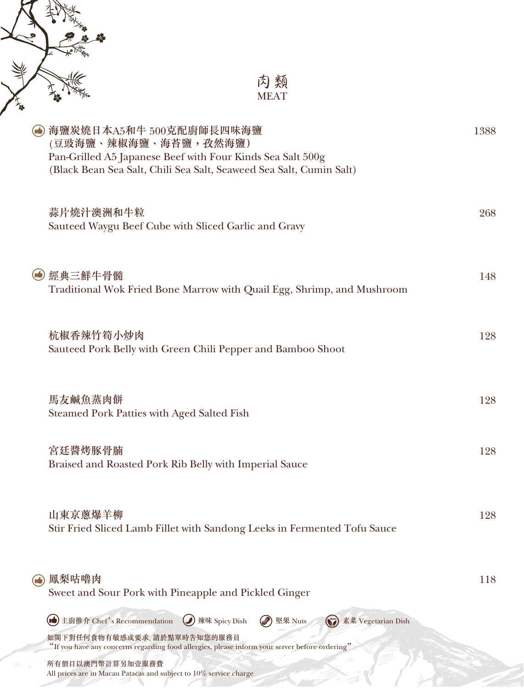

經典三鮮牛骨髓 148 Traditional Wok Fried Bone Marrow with Quail Egg, Shrimp, and Mushroom

| 杭椒香辣竹筍小炒肉                                                   | 128 |
|-------------------------------------------------------------|-----|
| Sauteed Pork Belly with Green Chili Pepper and Bamboo Shoot |     |

馬友鹹魚蒸肉餅 1280 カランド しょうしょう しょうしょう しゅうしゅう しょうしゅん おおし おおし 1280 Steamed Pork Patties with Aged Salted Fish

宮廷醬烤豚骨腩 128 Braised and Roasted Pork Rib Belly with Imperial Sauce

山東京蔥爆羊柳 128 Stir Fried Sliced Lamb Fillet with Sandong Leeks in Fermented Tofu Sauce

| (4) 鳳梨咕嚕肉<br>Sweet and Sour Pork with Pineapple and Pickled Ginger                                                            | 118 |
|-------------------------------------------------------------------------------------------------------------------------------|-----|
| (■ 主廚推介 Chef's Recommendation ( ) 辣味 Spicy Dish<br><b>● 堅果 Nuts</b><br>(S) 素菜 Vegetarian Dish                                 |     |
| 如閣下對任何食物有敏感或要求,請於點單時告知您的服務員<br>"If you have any concerns regarding food allergies, please inform your server before ordering" |     |
| 所有價目以澳門幣計算另加壹服務費<br>All prices are in Macau Patacas and subject to 10% service charge                                         |     |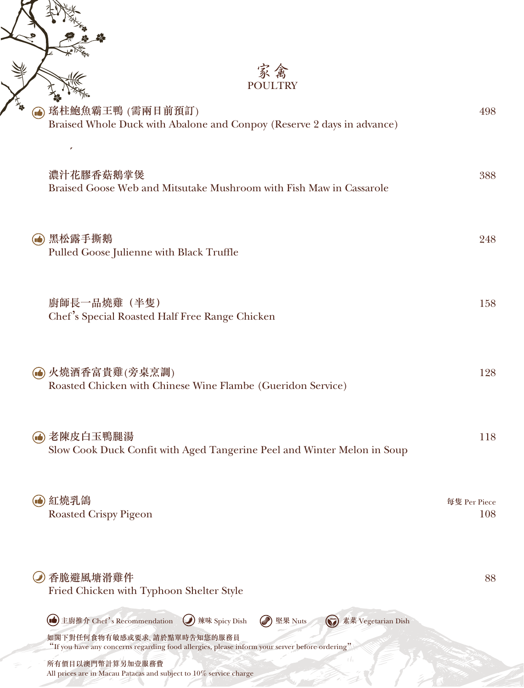|                  | 家禽<br><b>POULTRY</b>                                                                                                          |                     |
|------------------|-------------------------------------------------------------------------------------------------------------------------------|---------------------|
|                  | 瑤柱鮑魚霸王鴨 (需兩日前預訂)<br>Braised Whole Duck with Abalone and Conpoy (Reserve 2 days in advance)                                    | 498                 |
|                  | 濃汁花膠香菇鵝掌煲<br>Braised Goose Web and Mitsutake Mushroom with Fish Maw in Cassarole                                              | 388                 |
| $(\blacksquare)$ | 黑松露手撕鵝<br>Pulled Goose Julienne with Black Truffle                                                                            | 248                 |
|                  | 廚師長一品燒雞 (半隻)<br>Chef's Special Roasted Half Free Range Chicken                                                                | 158                 |
|                  | (●) 火燒酒香富貴雞(旁桌烹調)<br>Roasted Chicken with Chinese Wine Flambe (Gueridon Service)                                              | 128                 |
|                  | 老陳皮白玉鴨腿湯<br>Slow Cook Duck Confit with Aged Tangerine Peel and Winter Melon in Soup                                           | 118                 |
|                  | 紅燒乳鴿<br><b>Roasted Crispy Pigeon</b>                                                                                          | 每隻 Per Piece<br>108 |
|                  | 香脆避風塘滑雞件<br>Fried Chicken with Typhoon Shelter Style                                                                          | 88                  |
|                  | 主廚推介 Chef's Recommendation<br>辣味 Spicy Dish<br>堅果 Nuts<br>素菜 Vegetarian Dish<br>$\omega$                                      |                     |
|                  | 如閣下對任何食物有敏感或要求,請於點單時告知您的服務員<br>"If you have any concerns regarding food allergies, please inform your server before ordering" |                     |
|                  | 所有價目以澳門幣計算另加壹服務費<br>All prices are in Macau Patacas and subject to 10% service charge                                         |                     |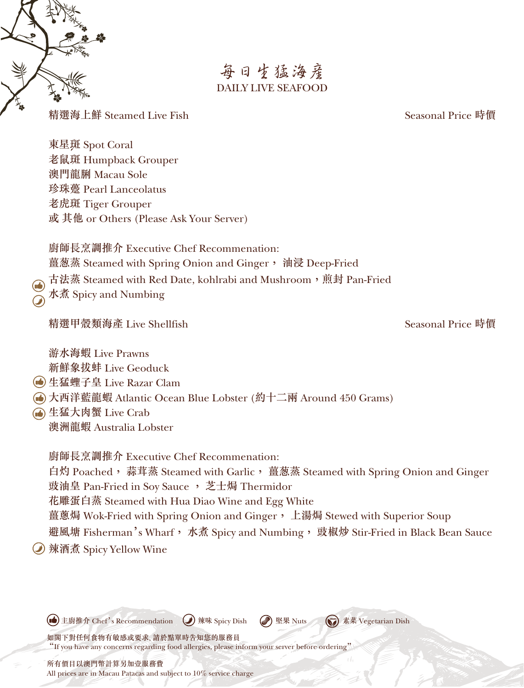

# 每日生猛海產 DAILY LIVE SEAFOOD

精選海上鮮 Steamed Live Fish Seasonal Price 時價

東星斑 Spot Coral 老鼠斑 Humpback Grouper 澳門龍脷 Macau Sole 珍珠躉 Pearl Lanceolatus 老虎斑 Tiger Grouper 或 其他 or Others (Please Ask Your Server)

廚師長烹調推介 Executive Chef Recommenation: 薑葱蒸 Steamed with Spring Onion and Ginger, 油浸 Deep-Fried 古法蒸 Steamed with Red Date, kohlrabi and Mushroom, 煎封 Pan-Fried 水煮 Spicy and Numbing

精選甲殼類海產 Live Shellfish Seasonal Price 時價

游水海蝦 Live Prawns 新鮮象拔蚌 Live Geoduck

生猛蟶子皇 Live Razar Clam

大西洋藍龍蝦 Atlantic Ocean Blue Lobster (約十二兩 Around 450 Grams)

生猛大肉蟹 Live Crab 澳洲龍蝦 Australia Lobster

廚師長烹調推介 Executive Chef Recommenation: 白灼 Poached, 蒜茸蒸 Steamed with Garlic, 薑葱蒸 Steamed with Spring Onion and Ginger 豉油皇 Pan-Fried in Soy Sauce , 芝士焗 Thermidor 花雕蛋白蒸 Steamed with Hua Diao Wine and Egg White 薑蔥焗 Wok-Fried with Spring Onion and Ginger, 上湯焗 Stewed with Superior Soup 避風塘 Fisherman's Wharf, 水煮 Spicy and Numbing, 豉椒炒 Stir-Fried in Black Bean Sauce 辣酒煮 Spicy Yellow Wine

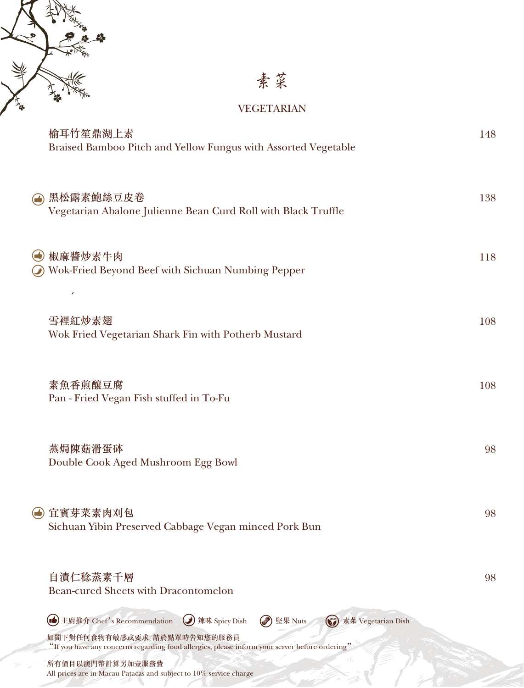

素菜

#### VEGETARIAN

| 榆耳竹笙鼎湖上素<br>Braised Bamboo Pitch and Yellow Fungus with Assorted Vegetable                                                    | 148 |
|-------------------------------------------------------------------------------------------------------------------------------|-----|
| (▲) 黑松露素鮑絲豆皮卷<br>Vegetarian Abalone Julienne Bean Curd Roll with Black Truffle                                                | 138 |
| (●) 椒麻醬炒素牛肉<br>Wok-Fried Beyond Beef with Sichuan Numbing Pepper<br>r                                                         | 118 |
| 雪裡紅炒素翅<br>Wok Fried Vegetarian Shark Fin with Potherb Mustard                                                                 | 108 |
| 素魚香煎釀豆腐<br>Pan - Fried Vegan Fish stuffed in To-Fu                                                                            | 108 |
| 蒸焗陳菇滑蛋砵<br>Double Cook Aged Mushroom Egg Bowl                                                                                 | 98  |
| (●) 宜賓芽菜素肉刈包<br>Sichuan Yibin Preserved Cabbage Vegan minced Pork Bun                                                         | 98  |
| 自漬仁稔蒸素千層<br><b>Bean-cured Sheets with Dracontomelon</b>                                                                       | 98  |
| (nd) 主廚推介 Chef's Recommendation<br>辣味 Spicy Dish<br>堅果 Nuts<br>(S) 素菜 Vegetarian Dish                                         |     |
| 如閣下對任何食物有敏感或要求,請於點單時告知您的服務員<br>"If you have any concerns regarding food allergies, please inform your server before ordering" |     |
| $($ $ $<br>所有價目以澳門幣計算另加壹服務費                                                                                                   |     |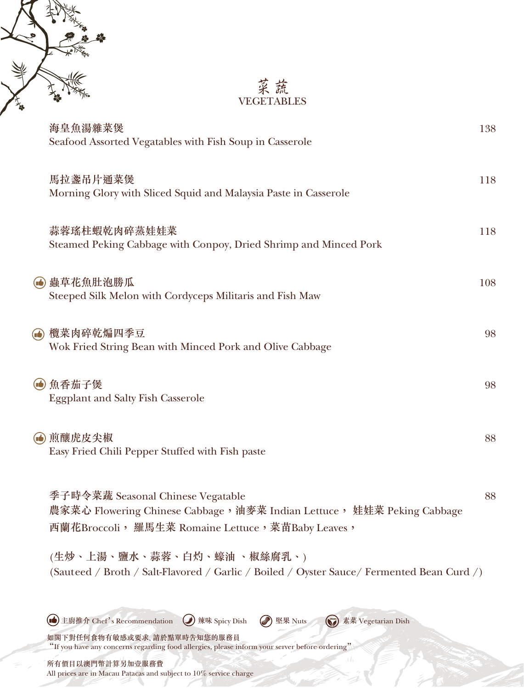



| 海皇魚湯雜菜煲<br>Seafood Assorted Vegatables with Fish Soup in Casserole                                                                                                                                                                              | 138 |
|-------------------------------------------------------------------------------------------------------------------------------------------------------------------------------------------------------------------------------------------------|-----|
| 馬拉盞吊片通菜煲<br>Morning Glory with Sliced Squid and Malaysia Paste in Casserole                                                                                                                                                                     | 118 |
| 蒜蓉瑤柱蝦乾肉碎蒸娃娃菜<br>Steamed Peking Cabbage with Conpoy, Dried Shrimp and Minced Pork                                                                                                                                                                | 118 |
| (4) 蟲草花魚肚泡勝瓜<br>Steeped Silk Melon with Cordyceps Militaris and Fish Maw                                                                                                                                                                        | 108 |
| (▲) 欖菜肉碎乾煸四季豆<br>Wok Fried String Bean with Minced Pork and Olive Cabbage                                                                                                                                                                       | 98  |
| (● 魚香茄子煲<br><b>Eggplant and Salty Fish Casserole</b>                                                                                                                                                                                            | 98  |
| (●) 煎釀虎皮尖椒<br>Easy Fried Chili Pepper Stuffed with Fish paste                                                                                                                                                                                   | 88  |
| 季子時令菜蔬 Seasonal Chinese Vegatable<br>農家菜心 Flowering Chinese Cabbage,油麥菜 Indian Lettuce, 娃娃菜 Peking Cabbage<br>西蘭花Broccoli, 羅馬生菜 Romaine Lettuce, 菜苗Baby Leaves,                                                                                 | 88  |
| (生炒、上湯、鹽水、蒜蓉、白灼、蠔油 、椒絲腐乳、)<br>(Sauteed / Broth / Salt-Flavored / Garlic / Boiled / Oyster Sauce/ Fermented Bean Curd /)                                                                                                                         |     |
| (d) 主廚推介 Chef's Recommendation<br>辣味 Spicy Dish<br>(S) 素菜 Vegetarian Dish<br>Õ.<br>堅果 Nuts<br>如閣下對任何食物有敏感或要求、請於點單時告知您的服務員<br>"If you have any concerns regarding food allergies, please inform your server before ordering"<br>所有價目以澳門幣計算另加壹服務費 |     |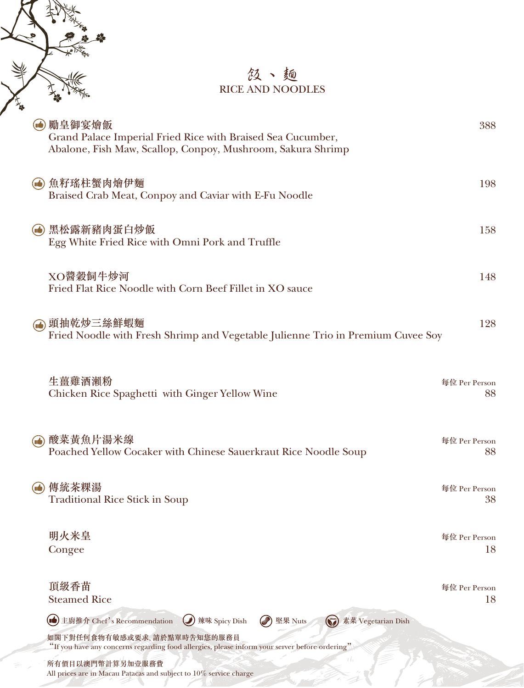### 飯、麵 RICE AND NOODLES

|                                | 勵皇御宴燴飯<br>Grand Palace Imperial Fried Rice with Braised Sea Cucumber,<br>Abalone, Fish Maw, Scallop, Conpoy, Mushroom, Sakura Shrimp | 388                 |
|--------------------------------|--------------------------------------------------------------------------------------------------------------------------------------|---------------------|
| $(\blacksquare \blacklozenge)$ | 魚籽瑤柱蟹肉燴伊麵<br>Braised Crab Meat, Conpoy and Caviar with E-Fu Noodle                                                                   | 198                 |
| $\mathbf \Omega$               | 黑松露新豬肉蛋白炒飯<br>Egg White Fried Rice with Omni Pork and Truffle                                                                        | 158                 |
|                                | XO醬穀飼牛炒河<br>Fried Flat Rice Noodle with Corn Beef Fillet in XO sauce                                                                 | 148                 |
|                                | 頭抽乾炒三絲鮮蝦麵<br>Fried Noodle with Fresh Shrimp and Vegetable Julienne Trio in Premium Cuvee Soy                                         | 128                 |
|                                | 生薑雞酒瀨粉<br>Chicken Rice Spaghetti with Ginger Yellow Wine                                                                             | 每位 Per Person<br>88 |
| (uś                            | 酸菜黄魚片湯米線<br>Poached Yellow Cocaker with Chinese Sauerkraut Rice Noodle Soup                                                          | 每位 Per Person<br>88 |
|                                | 傳統茶粿湯<br><b>Traditional Rice Stick in Soup</b>                                                                                       | 每位 Per Person<br>38 |
|                                | 明火米皇<br>Congee                                                                                                                       | 每位 Per Person<br>18 |
|                                | 頂級香苗<br><b>Steamed Rice</b>                                                                                                          | 每位 Per Person<br>18 |
|                                | 素菜 Vegetarian Dish<br>œ<br>主廚推介 Chef's Recommendation<br>辣味 Spicy Dish<br>堅果 Nuts<br>$\mathbf{C}$                                    |                     |
|                                | 如閣下對任何食物有敏感或要求、請於點單時告知您的服務員<br>"If you have any concerns regarding food allergies, please inform your server before ordering"        |                     |
|                                | U,<br>所有價目以澳門幣計算另加壹服務費<br>All prices are in Macau Patacas and subject to 10% service charge                                          |                     |